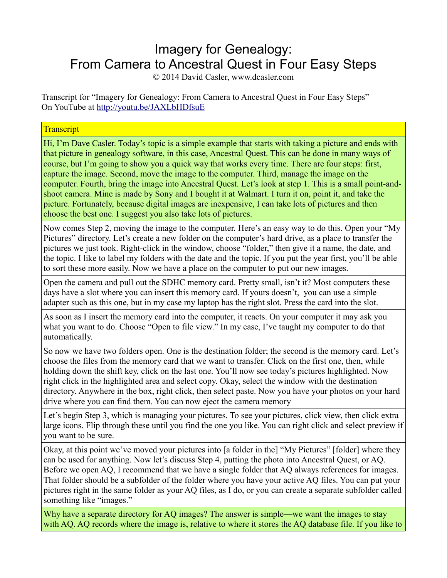## Imagery for Genealogy: From Camera to Ancestral Quest in Four Easy Steps

© 2014 David Casler, www.dcasler.com

Transcript for "Imagery for Genealogy: From Camera to Ancestral Quest in Four Easy Steps" On YouTube at<http://youtu.be/JAXLbHDfsuE>

## **Transcript**

Hi, I'm Dave Casler. Today's topic is a simple example that starts with taking a picture and ends with that picture in genealogy software, in this case, Ancestral Quest. This can be done in many ways of course, but I'm going to show you a quick way that works every time. There are four steps: first, capture the image. Second, move the image to the computer. Third, manage the image on the computer. Fourth, bring the image into Ancestral Quest. Let's look at step 1. This is a small point-andshoot camera. Mine is made by Sony and I bought it at Walmart. I turn it on, point it, and take the picture. Fortunately, because digital images are inexpensive, I can take lots of pictures and then choose the best one. I suggest you also take lots of pictures.

Now comes Step 2, moving the image to the computer. Here's an easy way to do this. Open your "My Pictures" directory. Let's create a new folder on the computer's hard drive, as a place to transfer the pictures we just took. Right-click in the window, choose "folder," then give it a name, the date, and the topic. I like to label my folders with the date and the topic. If you put the year first, you'll be able to sort these more easily. Now we have a place on the computer to put our new images.

Open the camera and pull out the SDHC memory card. Pretty small, isn't it? Most computers these days have a slot where you can insert this memory card. If yours doesn't, you can use a simple adapter such as this one, but in my case my laptop has the right slot. Press the card into the slot.

As soon as I insert the memory card into the computer, it reacts. On your computer it may ask you what you want to do. Choose "Open to file view." In my case, I've taught my computer to do that automatically.

So now we have two folders open. One is the destination folder; the second is the memory card. Let's choose the files from the memory card that we want to transfer. Click on the first one, then, while holding down the shift key, click on the last one. You'll now see today's pictures highlighted. Now right click in the highlighted area and select copy. Okay, select the window with the destination directory. Anywhere in the box, right click, then select paste. Now you have your photos on your hard drive where you can find them. You can now eject the camera memory

Let's begin Step 3, which is managing your pictures. To see your pictures, click view, then click extra large icons. Flip through these until you find the one you like. You can right click and select preview if you want to be sure.

Okay, at this point we've moved your pictures into [a folder in the] "My Pictures" [folder] where they can be used for anything. Now let's discuss Step 4, putting the photo into Ancestral Quest, or AQ. Before we open AQ, I recommend that we have a single folder that AQ always references for images. That folder should be a subfolder of the folder where you have your active AQ files. You can put your pictures right in the same folder as your AQ files, as I do, or you can create a separate subfolder called something like "images."

Why have a separate directory for AQ images? The answer is simple—we want the images to stay with AQ. AQ records where the image is, relative to where it stores the AQ database file. If you like to